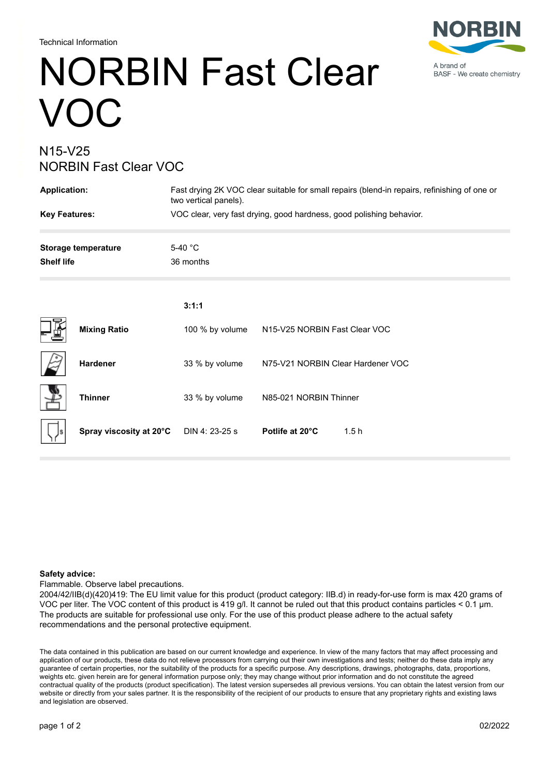Technical Information

# NORBIN Fast Clear VOC

### N15-V25 NORBIN Fast Clear VOC

| <b>Application:</b>                             |                         | Fast drying 2K VOC clear suitable for small repairs (blend-in repairs, refinishing of one or<br>two vertical panels). |                                   |  |
|-------------------------------------------------|-------------------------|-----------------------------------------------------------------------------------------------------------------------|-----------------------------------|--|
| <b>Key Features:</b>                            |                         | VOC clear, very fast drying, good hardness, good polishing behavior.                                                  |                                   |  |
| <b>Storage temperature</b><br><b>Shelf life</b> |                         | 5-40 °C<br>36 months                                                                                                  |                                   |  |
|                                                 |                         | 3:1:1                                                                                                                 |                                   |  |
|                                                 | <b>Mixing Ratio</b>     | 100 % by volume                                                                                                       | N15-V25 NORBIN Fast Clear VOC     |  |
|                                                 | Hardener                | 33 % by volume                                                                                                        | N75-V21 NORBIN Clear Hardener VOC |  |
|                                                 | <b>Thinner</b>          | 33 % by volume                                                                                                        | N85-021 NORBIN Thinner            |  |
|                                                 | Spray viscosity at 20°C | DIN 4: 23-25 s                                                                                                        | Potlife at 20°C<br>1.5h           |  |

#### **Safety advice:**

Flammable. Observe label precautions.

2004/42/IIB(d)(420)419: The EU limit value for this product (product category: IIB.d) in ready-for-use form is max 420 grams of VOC per liter. The VOC content of this product is 419 g/l. It cannot be ruled out that this product contains particles < 0.1 μm. The products are suitable for professional use only. For the use of this product please adhere to the actual safety recommendations and the personal protective equipment.

The data contained in this publication are based on our current knowledge and experience. In view of the many factors that may affect processing and application of our products, these data do not relieve processors from carrying out their own investigations and tests; neither do these data imply any guarantee of certain properties, nor the suitability of the products for a specific purpose. Any descriptions, drawings, photographs, data, proportions, weights etc. given herein are for general information purpose only; they may change without prior information and do not constitute the agreed contractual quality of the products (product specification). The latest version supersedes all previous versions. You can obtain the latest version from our website or directly from your sales partner. It is the responsibility of the recipient of our products to ensure that any proprietary rights and existing laws and legislation are observed.